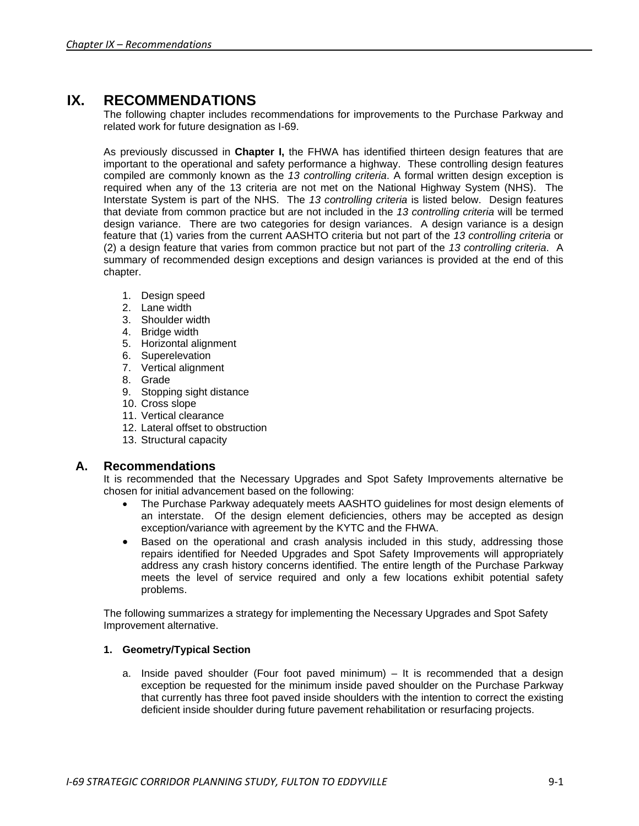# **IX. RECOMMENDATIONS**

The following chapter includes recommendations for improvements to the Purchase Parkway and related work for future designation as I-69.

As previously discussed in **Chapter I,** the FHWA has identified thirteen design features that are important to the operational and safety performance a highway. These controlling design features compiled are commonly known as the *13 controlling criteria*. A formal written design exception is required when any of the 13 criteria are not met on the National Highway System (NHS). The Interstate System is part of the NHS. The *13 controlling criteria* is listed below. Design features that deviate from common practice but are not included in the *13 controlling criteria* will be termed design variance. There are two categories for design variances. A design variance is a design feature that (1) varies from the current AASHTO criteria but not part of the *13 controlling criteria* or (2) a design feature that varies from common practice but not part of the *13 controlling criteria*. A summary of recommended design exceptions and design variances is provided at the end of this chapter.

- 1. Design speed
- 2. Lane width
- 3. Shoulder width
- 4. Bridge width
- 5. Horizontal alignment
- 6. Superelevation
- 7. Vertical alignment
- 8. Grade
- 9. Stopping sight distance
- 10. Cross slope
- 11. Vertical clearance
- 12. Lateral offset to obstruction
- 13. Structural capacity

# **A. Recommendations**

It is recommended that the Necessary Upgrades and Spot Safety Improvements alternative be chosen for initial advancement based on the following:

- The Purchase Parkway adequately meets AASHTO guidelines for most design elements of an interstate. Of the design element deficiencies, others may be accepted as design exception/variance with agreement by the KYTC and the FHWA.
- Based on the operational and crash analysis included in this study, addressing those repairs identified for Needed Upgrades and Spot Safety Improvements will appropriately address any crash history concerns identified. The entire length of the Purchase Parkway meets the level of service required and only a few locations exhibit potential safety problems.

The following summarizes a strategy for implementing the Necessary Upgrades and Spot Safety Improvement alternative.

# **1. Geometry/Typical Section**

a. Inside paved shoulder (Four foot paved minimum)  $-$  It is recommended that a design exception be requested for the minimum inside paved shoulder on the Purchase Parkway that currently has three foot paved inside shoulders with the intention to correct the existing deficient inside shoulder during future pavement rehabilitation or resurfacing projects.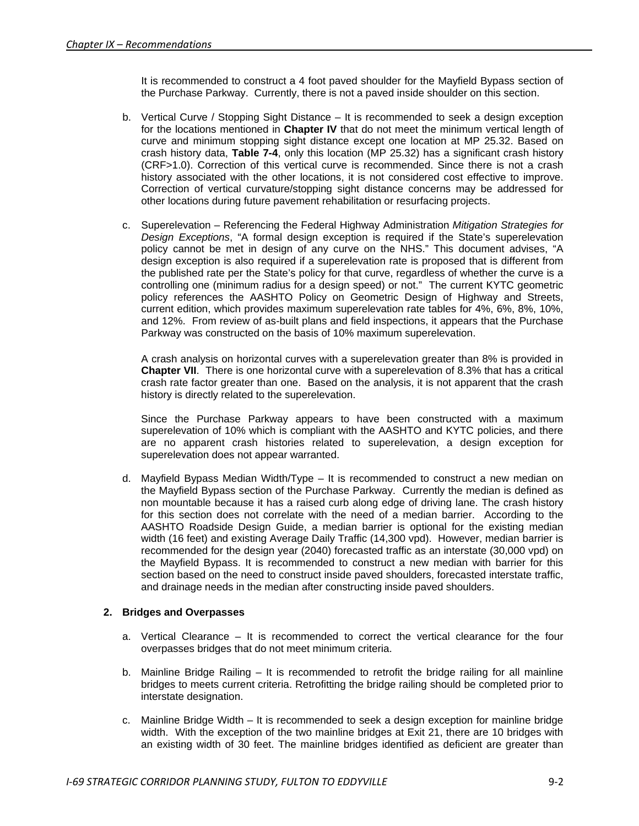It is recommended to construct a 4 foot paved shoulder for the Mayfield Bypass section of the Purchase Parkway. Currently, there is not a paved inside shoulder on this section.

- b. Vertical Curve / Stopping Sight Distance It is recommended to seek a design exception for the locations mentioned in **Chapter IV** that do not meet the minimum vertical length of curve and minimum stopping sight distance except one location at MP 25.32. Based on crash history data, **Table 7-4**, only this location (MP 25.32) has a significant crash history (CRF>1.0). Correction of this vertical curve is recommended. Since there is not a crash history associated with the other locations, it is not considered cost effective to improve. Correction of vertical curvature/stopping sight distance concerns may be addressed for other locations during future pavement rehabilitation or resurfacing projects.
- c. Superelevation Referencing the Federal Highway Administration *Mitigation Strategies for Design Exceptions*, "A formal design exception is required if the State's superelevation policy cannot be met in design of any curve on the NHS." This document advises, "A design exception is also required if a superelevation rate is proposed that is different from the published rate per the State's policy for that curve, regardless of whether the curve is a controlling one (minimum radius for a design speed) or not." The current KYTC geometric policy references the AASHTO Policy on Geometric Design of Highway and Streets, current edition, which provides maximum superelevation rate tables for 4%, 6%, 8%, 10%, and 12%. From review of as-built plans and field inspections, it appears that the Purchase Parkway was constructed on the basis of 10% maximum superelevation.

A crash analysis on horizontal curves with a superelevation greater than 8% is provided in **Chapter VII**. There is one horizontal curve with a superelevation of 8.3% that has a critical crash rate factor greater than one. Based on the analysis, it is not apparent that the crash history is directly related to the superelevation.

Since the Purchase Parkway appears to have been constructed with a maximum superelevation of 10% which is compliant with the AASHTO and KYTC policies, and there are no apparent crash histories related to superelevation, a design exception for superelevation does not appear warranted.

d. Mayfield Bypass Median Width/Type – It is recommended to construct a new median on the Mayfield Bypass section of the Purchase Parkway. Currently the median is defined as non mountable because it has a raised curb along edge of driving lane. The crash history for this section does not correlate with the need of a median barrier. According to the AASHTO Roadside Design Guide, a median barrier is optional for the existing median width (16 feet) and existing Average Daily Traffic (14,300 vpd). However, median barrier is recommended for the design year (2040) forecasted traffic as an interstate (30,000 vpd) on the Mayfield Bypass. It is recommended to construct a new median with barrier for this section based on the need to construct inside paved shoulders, forecasted interstate traffic, and drainage needs in the median after constructing inside paved shoulders.

# **2. Bridges and Overpasses**

- a. Vertical Clearance It is recommended to correct the vertical clearance for the four overpasses bridges that do not meet minimum criteria.
- b. Mainline Bridge Railing It is recommended to retrofit the bridge railing for all mainline bridges to meets current criteria. Retrofitting the bridge railing should be completed prior to interstate designation.
- c. Mainline Bridge Width It is recommended to seek a design exception for mainline bridge width. With the exception of the two mainline bridges at Exit 21, there are 10 bridges with an existing width of 30 feet. The mainline bridges identified as deficient are greater than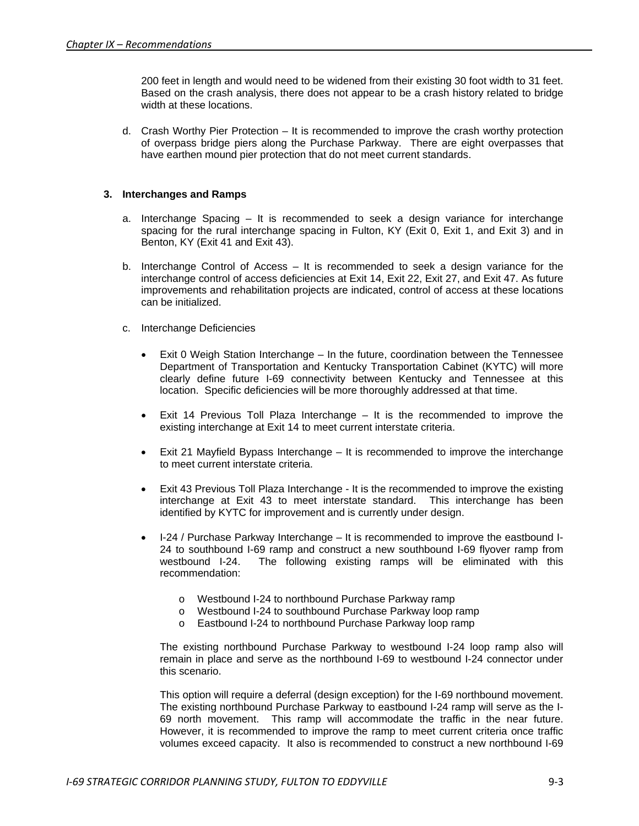200 feet in length and would need to be widened from their existing 30 foot width to 31 feet. Based on the crash analysis, there does not appear to be a crash history related to bridge width at these locations.

d. Crash Worthy Pier Protection – It is recommended to improve the crash worthy protection of overpass bridge piers along the Purchase Parkway. There are eight overpasses that have earthen mound pier protection that do not meet current standards.

#### **3. Interchanges and Ramps**

- a. Interchange Spacing It is recommended to seek a design variance for interchange spacing for the rural interchange spacing in Fulton, KY (Exit 0, Exit 1, and Exit 3) and in Benton, KY (Exit 41 and Exit 43).
- b. Interchange Control of Access It is recommended to seek a design variance for the interchange control of access deficiencies at Exit 14, Exit 22, Exit 27, and Exit 47. As future improvements and rehabilitation projects are indicated, control of access at these locations can be initialized.
- c. Interchange Deficiencies
	- Exit 0 Weigh Station Interchange In the future, coordination between the Tennessee Department of Transportation and Kentucky Transportation Cabinet (KYTC) will more clearly define future I-69 connectivity between Kentucky and Tennessee at this location. Specific deficiencies will be more thoroughly addressed at that time.
	- Exit 14 Previous Toll Plaza Interchange  $-$  It is the recommended to improve the existing interchange at Exit 14 to meet current interstate criteria.
	- Exit 21 Mayfield Bypass Interchange It is recommended to improve the interchange to meet current interstate criteria.
	- Exit 43 Previous Toll Plaza Interchange It is the recommended to improve the existing interchange at Exit 43 to meet interstate standard. This interchange has been identified by KYTC for improvement and is currently under design.
	- I-24 / Purchase Parkway Interchange It is recommended to improve the eastbound I-24 to southbound I-69 ramp and construct a new southbound I-69 flyover ramp from<br>westbound I-24. The following existing ramps will be eliminated with this The following existing ramps will be eliminated with this recommendation:
		- o Westbound I-24 to northbound Purchase Parkway ramp
		- o Westbound I-24 to southbound Purchase Parkway loop ramp
		- o Eastbound I-24 to northbound Purchase Parkway loop ramp

The existing northbound Purchase Parkway to westbound I-24 loop ramp also will remain in place and serve as the northbound I-69 to westbound I-24 connector under this scenario.

This option will require a deferral (design exception) for the I-69 northbound movement. The existing northbound Purchase Parkway to eastbound I-24 ramp will serve as the I-69 north movement. This ramp will accommodate the traffic in the near future. However, it is recommended to improve the ramp to meet current criteria once traffic volumes exceed capacity. It also is recommended to construct a new northbound I-69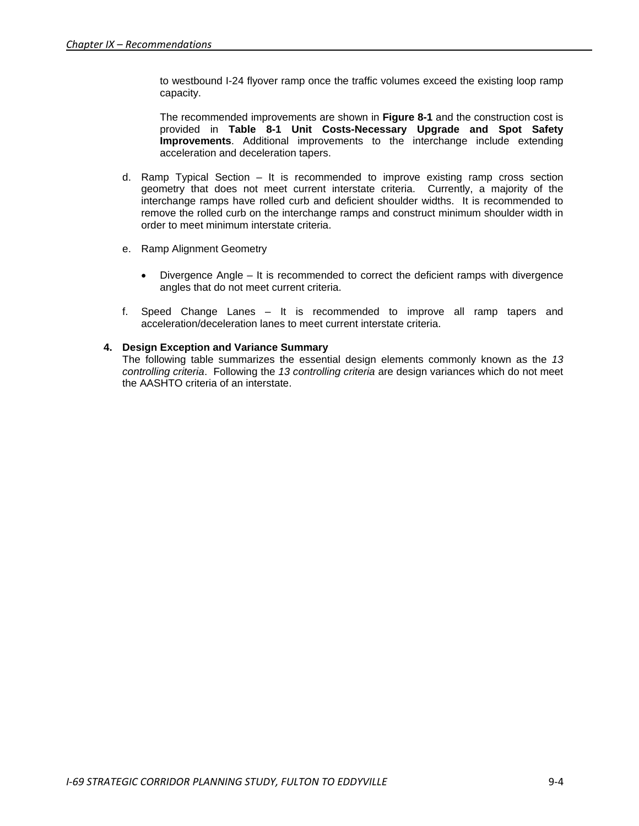to westbound I-24 flyover ramp once the traffic volumes exceed the existing loop ramp capacity.

The recommended improvements are shown in **Figure 8-1** and the construction cost is provided in Table 8-1 Unit Costs-Necessary Upgrade and Spot Safety **Improvements**. Additional improvements to the interchange include extending acceleration and deceleration tapers.

- d. Ramp Typical Section It is recommended to improve existing ramp cross section geometry that does not meet current interstate criteria. Currently, a majority of the interchange ramps have rolled curb and deficient shoulder widths. It is recommended to remove the rolled curb on the interchange ramps and construct minimum shoulder width in order to meet minimum interstate criteria.
- e. Ramp Alignment Geometry
	- Divergence Angle It is recommended to correct the deficient ramps with divergence angles that do not meet current criteria.
- f. Speed Change Lanes It is recommended to improve all ramp tapers and acceleration/deceleration lanes to meet current interstate criteria.

# **4. Design Exception and Variance Summary**

The following table summarizes the essential design elements commonly known as the *13 controlling criteria*. Following the *13 controlling criteria* are design variances which do not meet the AASHTO criteria of an interstate.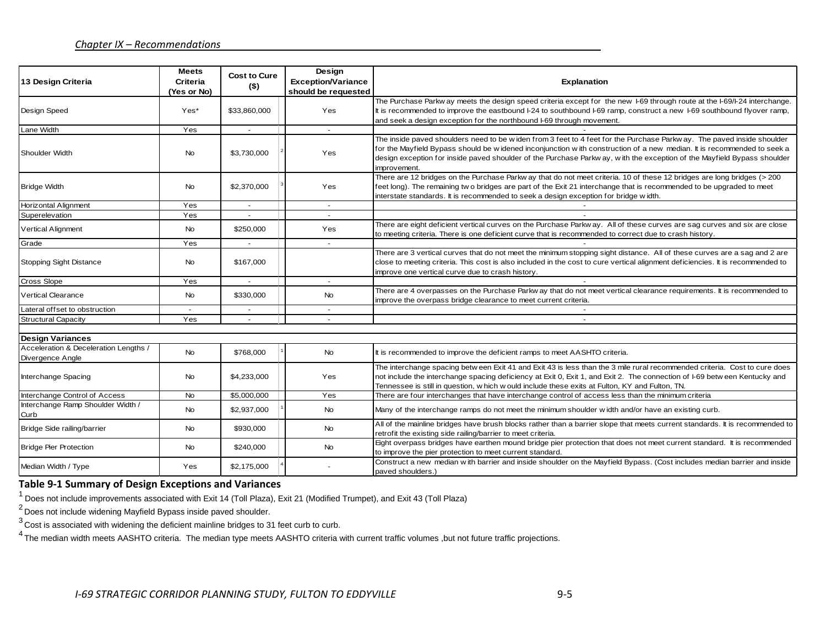| 13 Design Criteria                                        | <b>Meets</b><br><b>Criteria</b><br>(Yes or No) | <b>Cost to Cure</b><br>$($ \$) | Design<br><b>Exception/Variance</b><br>should be requested | Explanation                                                                                                                                                                                                                                                                                                                                                                                |
|-----------------------------------------------------------|------------------------------------------------|--------------------------------|------------------------------------------------------------|--------------------------------------------------------------------------------------------------------------------------------------------------------------------------------------------------------------------------------------------------------------------------------------------------------------------------------------------------------------------------------------------|
| Design Speed                                              | Yes*                                           | \$33.860.000                   | Yes                                                        | The Purchase Parkw ay meets the design speed criteria except for the new 1-69 through route at the 1-69/1-24 interchange.<br>It is recommended to improve the eastbound I-24 to southbound I-69 ramp, construct a new I-69 southbound flyover ramp,<br>and seek a design exception for the northbound I-69 through movement.                                                               |
| Lane Width                                                | Yes                                            | $\sim$                         | $\sim$                                                     |                                                                                                                                                                                                                                                                                                                                                                                            |
| <b>Shoulder Width</b>                                     | No                                             | \$3,730,000                    | Yes                                                        | The inside paved shoulders need to be widen from 3 feet to 4 feet for the Purchase Parkway. The paved inside shoulder<br>for the Mayfield Bypass should be widened inconjunction with construction of a new median. It is recommended to seek a<br>design exception for inside paved shoulder of the Purchase Parkw ay, with the exception of the Mayfield Bypass shoulder<br>improvement. |
| <b>Bridge Width</b>                                       | No                                             | \$2,370,000                    | Yes                                                        | There are 12 bridges on the Purchase Parkw ay that do not meet criteria. 10 of these 12 bridges are long bridges (> 200<br>feet long). The remaining two bridges are part of the Exit 21 interchange that is recommended to be upgraded to meet<br>interstate standards. It is recommended to seek a design exception for bridge width.                                                    |
| <b>Horizontal Alignment</b>                               | Yes                                            |                                |                                                            |                                                                                                                                                                                                                                                                                                                                                                                            |
| Superelevation                                            | Yes                                            |                                | $\overline{\phantom{a}}$                                   |                                                                                                                                                                                                                                                                                                                                                                                            |
| <b>Vertical Alignment</b>                                 | <b>No</b>                                      | \$250,000                      | Yes                                                        | There are eight deficient vertical curves on the Purchase Parkway. All of these curves are sag curves and six are close<br>to meeting criteria. There is one deficient curve that is recommended to correct due to crash history.                                                                                                                                                          |
| Grade                                                     | Yes                                            | $\sim$                         | $\sim$                                                     |                                                                                                                                                                                                                                                                                                                                                                                            |
| <b>Stopping Sight Distance</b>                            | No                                             | \$167,000                      |                                                            | There are 3 vertical curves that do not meet the minimum stopping sight distance. All of these curves are a sag and 2 are<br>close to meeting criteria. This cost is also included in the cost to cure vertical alignment deficiencies. It is recommended to<br>improve one vertical curve due to crash history.                                                                           |
| Cross Slope                                               | Yes                                            |                                | $\sim$                                                     |                                                                                                                                                                                                                                                                                                                                                                                            |
| <b>Vertical Clearance</b>                                 | <b>No</b>                                      | \$330,000                      | <b>No</b>                                                  | There are 4 overpasses on the Purchase Parkw ay that do not meet vertical clearance requirements. It is recommended to<br>improve the overpass bridge clearance to meet current criteria.                                                                                                                                                                                                  |
| Lateral offset to obstruction                             | $\sim$                                         | $\overline{\phantom{a}}$       | $\sim$                                                     | $\overline{a}$                                                                                                                                                                                                                                                                                                                                                                             |
| <b>Structural Capacity</b>                                | Yes                                            |                                | $\overline{\phantom{a}}$                                   | $\overline{\phantom{a}}$                                                                                                                                                                                                                                                                                                                                                                   |
|                                                           |                                                |                                |                                                            |                                                                                                                                                                                                                                                                                                                                                                                            |
| <b>Design Variances</b>                                   |                                                |                                |                                                            |                                                                                                                                                                                                                                                                                                                                                                                            |
| Acceleration & Deceleration Lengths /<br>Divergence Angle | No                                             | \$768,000                      | <b>No</b>                                                  | It is recommended to improve the deficient ramps to meet AASHTO criteria.                                                                                                                                                                                                                                                                                                                  |
| Interchange Spacing                                       | No                                             | \$4,233,000                    | Yes                                                        | The interchange spacing betw een Exit 41 and Exit 43 is less than the 3 mile rural recommended criteria. Cost to cure does<br>not include the interchange spacing deficiency at Exit 0, Exit 1, and Exit 2. The connection of I-69 betw een Kentucky and<br>Tennessee is still in question, w hich w ould include these exits at Fulton, KY and Fulton, TN.                                |
| Interchange Control of Access                             | <b>No</b>                                      | \$5,000,000                    | Yes                                                        | There are four interchanges that have interchange control of access less than the minimum criteria                                                                                                                                                                                                                                                                                         |
| Interchange Ramp Shoulder Width /<br>Curb                 | No                                             | \$2,937,000                    | <b>No</b>                                                  | Many of the interchange ramps do not meet the minimum shoulder width and/or have an existing curb.                                                                                                                                                                                                                                                                                         |
| Bridge Side railing/barrier                               | No                                             | \$930,000                      | <b>No</b>                                                  | All of the mainline bridges have brush blocks rather than a barrier slope that meets current standards. It is recommended to<br>retrof it the existing side railing/barrier to meet criteria.                                                                                                                                                                                              |
| <b>Bridge Pier Protection</b>                             | No                                             | \$240,000                      | <b>No</b>                                                  | Eight overpass bridges have earthen mound bridge pier protection that does not meet current standard. It is recommended<br>to improve the pier protection to meet current standard.                                                                                                                                                                                                        |
| Median Width / Type                                       | Yes                                            | \$2,175,000                    |                                                            | Construct a new median with barrier and inside shoulder on the Mayfield Bypass. (Cost includes median barrier and inside<br>paved shoulders.)                                                                                                                                                                                                                                              |

# **Table 9-1 Summary of Design Exceptions and Variances**

 $1$  Does not include improvements associated with Exit 14 (Toll Plaza), Exit 21 (Modified Trumpet), and Exit 43 (Toll Plaza)

<sup>2</sup> Does not include widening Mayfield Bypass inside paved shoulder.

3 Cost is associated with widening the deficient mainline bridges to 31 feet curb to curb.

<sup>4</sup> The median width meets AASHTO criteria. The median type meets AASHTO criteria with current traffic volumes ,but not future traffic projections.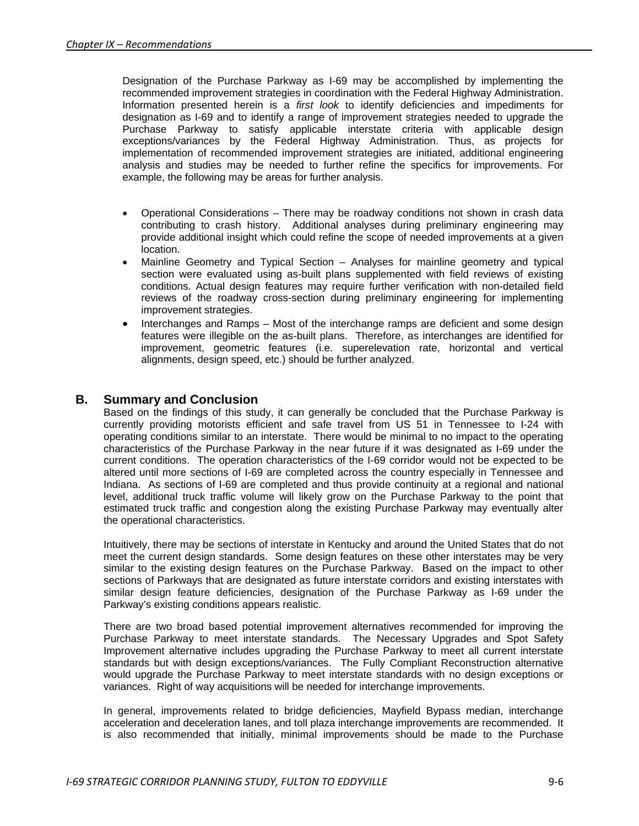Designation of the Purchase Parkway as I-69 may be accomplished by implementing the recommended improvement strategies in coordination with the Federal Highway Administration. Information presented herein is a *first look* to identify deficiencies and impediments for designation as I-69 and to identify a range of improvement strategies needed to upgrade the Purchase Parkway to satisfy applicable interstate criteria with applicable design exceptions/variances by the Federal Highway Administration. Thus, as projects for implementation of recommended improvement strategies are initiated, additional engineering analysis and studies may be needed to further refine the specifics for improvements. For example, the following may be areas for further analysis.

- Operational Considerations There may be roadway conditions not shown in crash data contributing to crash history. Additional analyses during preliminary engineering may provide additional insight which could refine the scope of needed improvements at a given location.
- Mainline Geometry and Typical Section Analyses for mainline geometry and typical section were evaluated using as-built plans supplemented with field reviews of existing conditions. Actual design features may require further verification with non-detailed field reviews of the roadway cross-section during preliminary engineering for implementing improvement strategies.
- Interchanges and Ramps Most of the interchange ramps are deficient and some design features were illegible on the as-built plans. Therefore, as interchanges are identified for improvement, geometric features (i.e. superelevation rate, horizontal and vertical alignments, design speed, etc.) should be further analyzed.

# **B. Summary and Conclusion**

Based on the findings of this study, it can generally be concluded that the Purchase Parkway is currently providing motorists efficient and safe travel from US 51 in Tennessee to I-24 with operating conditions similar to an interstate. There would be minimal to no impact to the operating characteristics of the Purchase Parkway in the near future if it was designated as I-69 under the current conditions. The operation characteristics of the I-69 corridor would not be expected to be altered until more sections of I-69 are completed across the country especially in Tennessee and Indiana. As sections of I-69 are completed and thus provide continuity at a regional and national level, additional truck traffic volume will likely grow on the Purchase Parkway to the point that estimated truck traffic and congestion along the existing Purchase Parkway may eventually alter the operational characteristics.

Intuitively, there may be sections of interstate in Kentucky and around the United States that do not meet the current design standards. Some design features on these other interstates may be very similar to the existing design features on the Purchase Parkway. Based on the impact to other sections of Parkways that are designated as future interstate corridors and existing interstates with similar design feature deficiencies, designation of the Purchase Parkway as I-69 under the Parkway's existing conditions appears realistic.

There are two broad based potential improvement alternatives recommended for improving the Purchase Parkway to meet interstate standards. The Necessary Upgrades and Spot Safety Improvement alternative includes upgrading the Purchase Parkway to meet all current interstate standards but with design exceptions/variances. The Fully Compliant Reconstruction alternative would upgrade the Purchase Parkway to meet interstate standards with no design exceptions or variances. Right of way acquisitions will be needed for interchange improvements.

In general, improvements related to bridge deficiencies, Mayfield Bypass median, interchange acceleration and deceleration lanes, and toll plaza interchange improvements are recommended. It is also recommended that initially, minimal improvements should be made to the Purchase